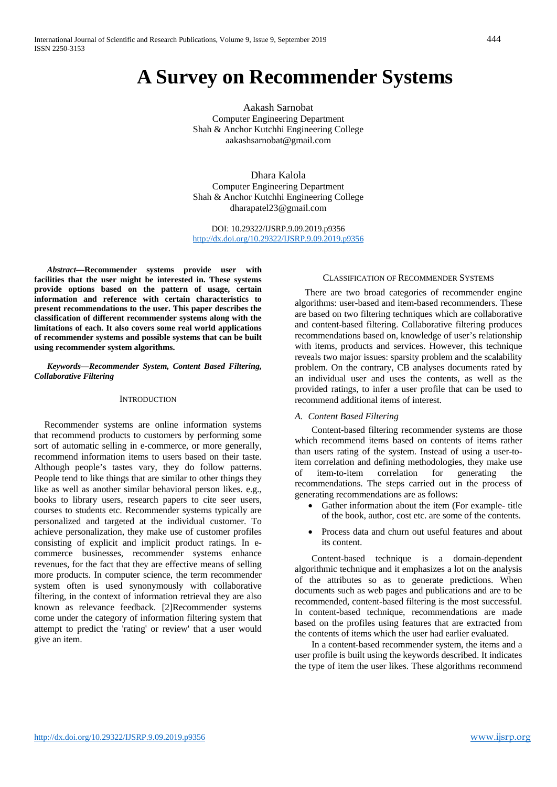# **A Survey on Recommender Systems**

Aakash Sarnobat Computer Engineering Department Shah & Anchor Kutchhi Engineering College aakashsarnobat@gmail.com

Dhara Kalola Computer Engineering Department Shah & Anchor Kutchhi Engineering College dharapatel23@gmail.com

DOI: 10.29322/IJSRP.9.09.2019.p9356 <http://dx.doi.org/10.29322/IJSRP.9.09.2019.p9356>

*Abstract—***Recommender systems provide user with facilities that the user might be interested in. These systems provide options based on the pattern of usage, certain information and reference with certain characteristics to present recommendations to the user. This paper describes the classification of different recommender systems along with the limitations of each. It also covers some real world applications of recommender systems and possible systems that can be built using recommender system algorithms.**

#### *Keywords—Recommender System, Content Based Filtering, Collaborative Filtering*

## **INTRODUCTION**

Recommender systems are online information systems that recommend products to customers by performing some sort of automatic selling in e-commerce, or more generally, recommend information items to users based on their taste. Although people's tastes vary, they do follow patterns. People tend to like things that are similar to other things they like as well as another similar behavioral person likes. e.g., books to library users, research papers to cite seer users, courses to students etc. Recommender systems typically are personalized and targeted at the individual customer. To achieve personalization, they make use of customer profiles consisting of explicit and implicit product ratings. In ecommerce businesses, recommender systems enhance revenues, for the fact that they are effective means of selling more products. In computer science, the term recommender system often is used synonymously with collaborative filtering, in the context of information retrieval they are also known as relevance feedback. [2]Recommender systems come under the category of information filtering system that attempt to predict the 'rating' or review' that a user would give an item.

#### CLASSIFICATION OF RECOMMENDER SYSTEMS

There are two broad categories of recommender engine algorithms: user-based and item-based recommenders. These are based on two filtering techniques which are collaborative and content-based filtering. Collaborative filtering produces recommendations based on, knowledge of user's relationship with items, products and services. However, this technique reveals two major issues: sparsity problem and the scalability problem. On the contrary, CB analyses documents rated by an individual user and uses the contents, as well as the provided ratings, to infer a user profile that can be used to recommend additional items of interest.

#### *A. Content Based Filtering*

Content-based filtering recommender systems are those which recommend items based on contents of items rather than users rating of the system. Instead of using a user-toitem correlation and defining methodologies, they make use of item-to-item correlation for generating the recommendations. The steps carried out in the process of generating recommendations are as follows:

- Gather information about the item (For example- title of the book, author, cost etc. are some of the contents.
- Process data and churn out useful features and about its content.

Content-based technique is a domain-dependent algorithmic technique and it emphasizes a lot on the analysis of the attributes so as to generate predictions. When documents such as web pages and publications and are to be recommended, content-based filtering is the most successful. In content-based technique, recommendations are made based on the profiles using features that are extracted from the contents of items which the user had earlier evaluated.

In a content-based recommender system, the items and a user profile is built using the keywords described. It indicates the type of item the user likes. These algorithms recommend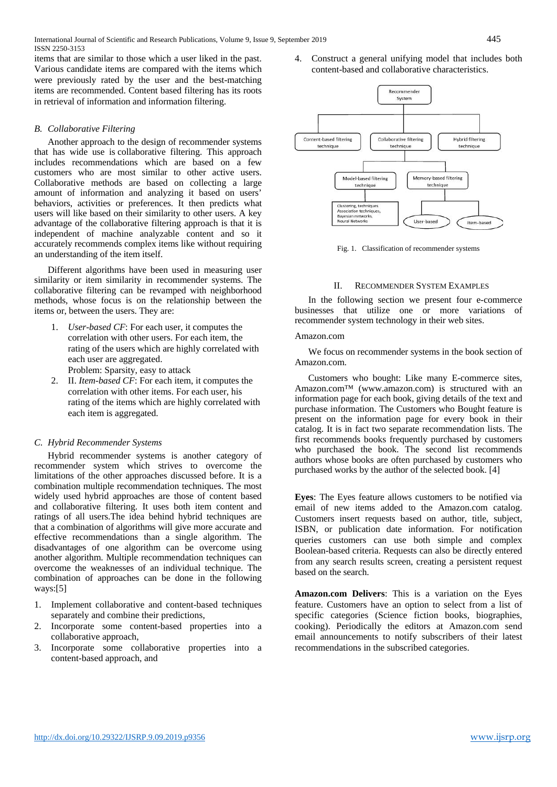International Journal of Scientific and Research Publications, Volume 9, Issue 9, September 2019 445 ISSN 2250-3153

items that are similar to those which a user liked in the past. Various candidate items are compared with the items which were previously rated by the user and the best-matching items are recommended. Content based filtering has its roots in retrieval of information and information filtering.

# *B. Collaborative Filtering*

Another approach to the design of recommender systems that has wide use is collaborative filtering. This approach includes recommendations which are based on a few customers who are most similar to other active users. Collaborative methods are based on collecting a large amount of information and analyzing it based on users' behaviors, activities or preferences. It then predicts what users will like based on their similarity to other users. A key advantage of the collaborative filtering approach is that it is independent of machine analyzable content and so it accurately recommends complex items like without requiring an understanding of the item itself.

Different algorithms have been used in measuring user similarity or item similarity in recommender systems. The collaborative filtering can be revamped with neighborhood methods, whose focus is on the relationship between the items or, between the users. They are:

- 1. *User-based CF*: For each user, it computes the correlation with other users. For each item, the rating of the users which are highly correlated with each user are aggregated. Problem: Sparsity, easy to attack
- 2. II. *Item-based CF*: For each item, it computes the correlation with other items. For each user, his rating of the items which are highly correlated with each item is aggregated.

## *C. Hybrid Recommender Systems*

Hybrid recommender systems is another category of recommender system which strives to overcome the limitations of the other approaches discussed before. It is a combination multiple recommendation techniques. The most widely used hybrid approaches are those of content based and collaborative filtering. It uses both item content and ratings of all users.The idea behind hybrid techniques are that a combination of algorithms will give more accurate and effective recommendations than a single algorithm. The disadvantages of one algorithm can be overcome using another algorithm. Multiple recommendation techniques can overcome the weaknesses of an individual technique. The combination of approaches can be done in the following ways:[5]

- 1. Implement collaborative and content-based techniques separately and combine their predictions,
- 2. Incorporate some content-based properties into a collaborative approach,
- 3. Incorporate some collaborative properties into a content-based approach, and

4. Construct a general unifying model that includes both content-based and collaborative characteristics.



Fig. 1. Classification of recommender systems

#### II. RECOMMENDER SYSTEM EXAMPLES

In the following section we present four e-commerce businesses that utilize one or more variations of recommender system technology in their web sites.

#### Amazon.com

We focus on recommender systems in the book section of Amazon.com.

Customers who bought: Like many E-commerce sites, Amazon.com™ (www.amazon.com) is structured with an information page for each book, giving details of the text and purchase information. The Customers who Bought feature is present on the information page for every book in their catalog. It is in fact two separate recommendation lists. The first recommends books frequently purchased by customers who purchased the book. The second list recommends authors whose books are often purchased by customers who purchased works by the author of the selected book. [4]

**Eyes**: The Eyes feature allows customers to be notified via email of new items added to the Amazon.com catalog. Customers insert requests based on author, title, subject, ISBN, or publication date information. For notification queries customers can use both simple and complex Boolean-based criteria. Requests can also be directly entered from any search results screen, creating a persistent request based on the search.

**Amazon.com Delivers**: This is a variation on the Eyes feature. Customers have an option to select from a list of specific categories (Science fiction books, biographies, cooking). Periodically the editors at Amazon.com send email announcements to notify subscribers of their latest recommendations in the subscribed categories.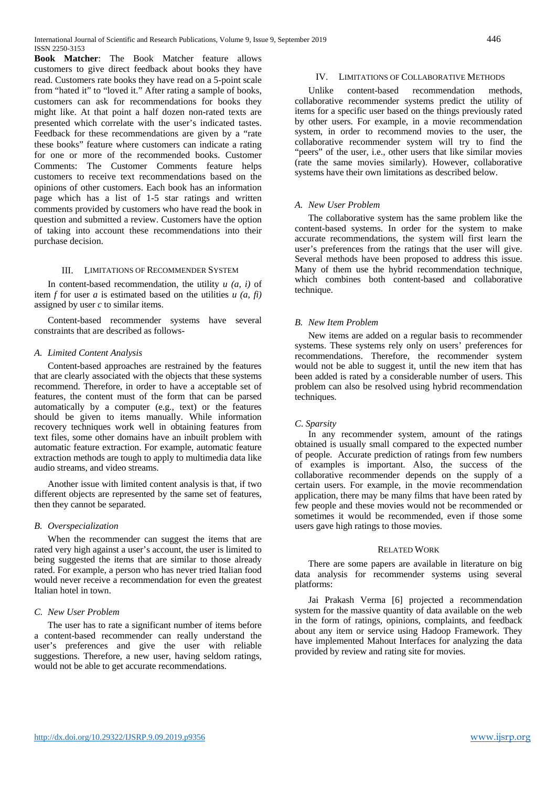**Book Matcher**: The Book Matcher feature allows customers to give direct feedback about books they have read. Customers rate books they have read on a 5-point scale from "hated it" to "loved it." After rating a sample of books, customers can ask for recommendations for books they might like. At that point a half dozen non-rated texts are presented which correlate with the user's indicated tastes. Feedback for these recommendations are given by a "rate these books" feature where customers can indicate a rating for one or more of the recommended books. Customer Comments: The Customer Comments feature helps customers to receive text recommendations based on the opinions of other customers. Each book has an information page which has a list of 1-5 star ratings and written comments provided by customers who have read the book in question and submitted a review. Customers have the option of taking into account these recommendations into their purchase decision.

# III. LIMITATIONS OF RECOMMENDER SYSTEM

In content-based recommendation, the utility *u (a, i)* of item  $f$  for user  $a$  is estimated based on the utilities  $u$   $(a, fi)$ assigned by user *c* to similar items.

Content-based recommender systems have several constraints that are described as follows-

# *A. Limited Content Analysis*

Content-based approaches are restrained by the features that are clearly associated with the objects that these systems recommend. Therefore, in order to have a acceptable set of features, the content must of the form that can be parsed automatically by a computer (e.g., text) or the features should be given to items manually. While information recovery techniques work well in obtaining features from text files, some other domains have an inbuilt problem with automatic feature extraction. For example, automatic feature extraction methods are tough to apply to multimedia data like audio streams, and video streams.

Another issue with limited content analysis is that, if two different objects are represented by the same set of features, then they cannot be separated.

## *B. Overspecialization*

When the recommender can suggest the items that are rated very high against a user's account, the user is limited to being suggested the items that are similar to those already rated. For example, a person who has never tried Italian food would never receive a recommendation for even the greatest Italian hotel in town.

# *C. New User Problem*

The user has to rate a significant number of items before a content-based recommender can really understand the user's preferences and give the user with reliable suggestions. Therefore, a new user, having seldom ratings, would not be able to get accurate recommendations.

# IV. LIMITATIONS OF COLLABORATIVE METHODS

Unlike content-based recommendation methods, collaborative recommender systems predict the utility of items for a specific user based on the things previously rated by other users. For example, in a movie recommendation system, in order to recommend movies to the user, the collaborative recommender system will try to find the "peers" of the user, i.e., other users that like similar movies (rate the same movies similarly). However, collaborative systems have their own limitations as described below.

# *A. New User Problem*

The collaborative system has the same problem like the content-based systems. In order for the system to make accurate recommendations, the system will first learn the user's preferences from the ratings that the user will give. Several methods have been proposed to address this issue. Many of them use the hybrid recommendation technique, which combines both content-based and collaborative technique.

# *B. New Item Problem*

New items are added on a regular basis to recommender systems. These systems rely only on users' preferences for recommendations. Therefore, the recommender system would not be able to suggest it, until the new item that has been added is rated by a considerable number of users. This problem can also be resolved using hybrid recommendation techniques.

# *C*. *Sparsity*

In any recommender system, amount of the ratings obtained is usually small compared to the expected number of people. Accurate prediction of ratings from few numbers of examples is important. Also, the success of the collaborative recommender depends on the supply of a certain users. For example, in the movie recommendation application, there may be many films that have been rated by few people and these movies would not be recommended or sometimes it would be recommended, even if those some users gave high ratings to those movies.

## RELATED WORK

There are some papers are available in literature on big data analysis for recommender systems using several platforms:

Jai Prakash Verma [6] projected a recommendation system for the massive quantity of data available on the web in the form of ratings, opinions, complaints, and feedback about any item or service using Hadoop Framework. They have implemented Mahout Interfaces for analyzing the data provided by review and rating site for movies.